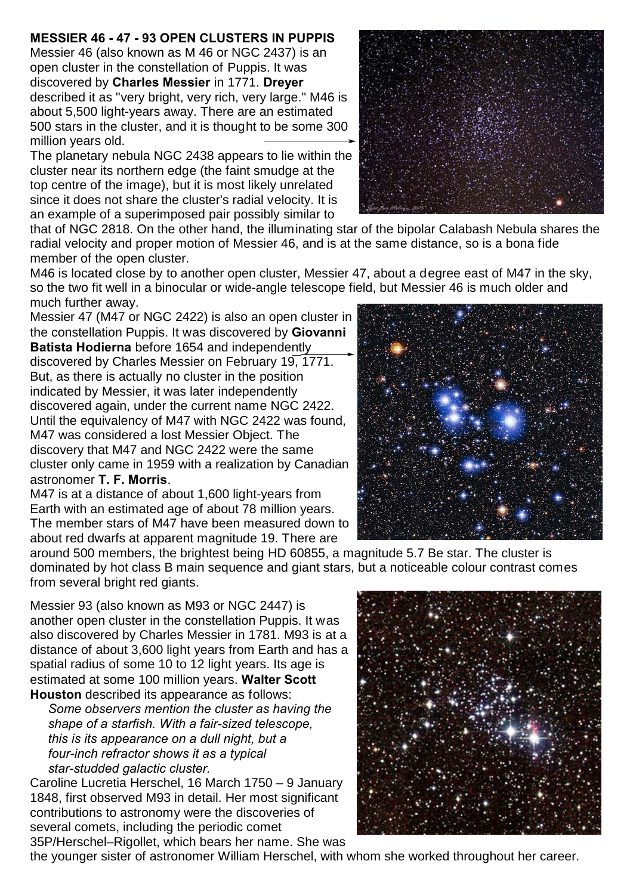## **MESSIER 46 - 47 - 93 OPEN CLUSTERS IN PUPPIS**

Messier 46 (also known as M 46 or NGC 2437) is an open cluster in the constellation of Puppis. It was discovered by **Charles Messier** in 1771. **Dreyer** described it as "very bright, very rich, very large." M46 is about 5,500 light-years away. There are an estimated 500 stars in the cluster, and it is thought to be some 300 million years old.

The planetary nebula NGC 2438 appears to lie within the cluster near its northern edge (the faint smudge at the top centre of the image), but it is most likely unrelated since it does not share the cluster's radial velocity. It is an example of a superimposed pair possibly similar to



that of NGC 2818. On the other hand, the illuminating star of the bipolar Calabash Nebula shares the radial velocity and proper motion of Messier 46, and is at the same distance, so is a bona fide member of the open cluster.

M46 is located close by to another open cluster, Messier 47, about a degree east of M47 in the sky, so the two fit well in a binocular or wide-angle telescope field, but Messier 46 is much older and much further away.

Messier 47 (M47 or NGC 2422) is also an open cluster in the constellation Puppis. It was discovered by **Giovanni Batista Hodierna** before 1654 and independently discovered by Charles Messier on February 19, 1771. But, as there is actually no cluster in the position indicated by Messier, it was later independently discovered again, under the current name NGC 2422. Until the equivalency of M47 with NGC 2422 was found, M47 was considered a lost Messier Object. The discovery that M47 and NGC 2422 were the same cluster only came in 1959 with a realization by Canadian astronomer **T. F. Morris**.

M47 is at a distance of about 1,600 light-years from Earth with an estimated age of about 78 million years. The member stars of M47 have been measured down to about red dwarfs at apparent magnitude 19. There are



around 500 members, the brightest being HD 60855, a magnitude 5.7 Be star. The cluster is dominated by hot class B main sequence and giant stars, but a noticeable colour contrast comes from several bright red giants.

Messier 93 (also known as M93 or NGC 2447) is another open cluster in the constellation Puppis. It was also discovered by Charles Messier in 1781. M93 is at a distance of about 3,600 light years from Earth and has a spatial radius of some 10 to 12 light years. Its age is estimated at some 100 million years. **Walter Scott Houston** described its appearance as follows:

*Some observers mention the cluster as having the shape of a starfish. With a fair-sized telescope, this is its appearance on a dull night, but a four-inch refractor shows it as a typical star-studded galactic cluster.* 

Caroline Lucretia Herschel, 16 March 1750 – 9 January 1848, first observed M93 in detail. Her most significant contributions to astronomy were the discoveries of several comets, including the periodic comet 35P/Herschel–Rigollet, which bears her name. She was



the younger sister of astronomer William Herschel, with whom she worked throughout her career.